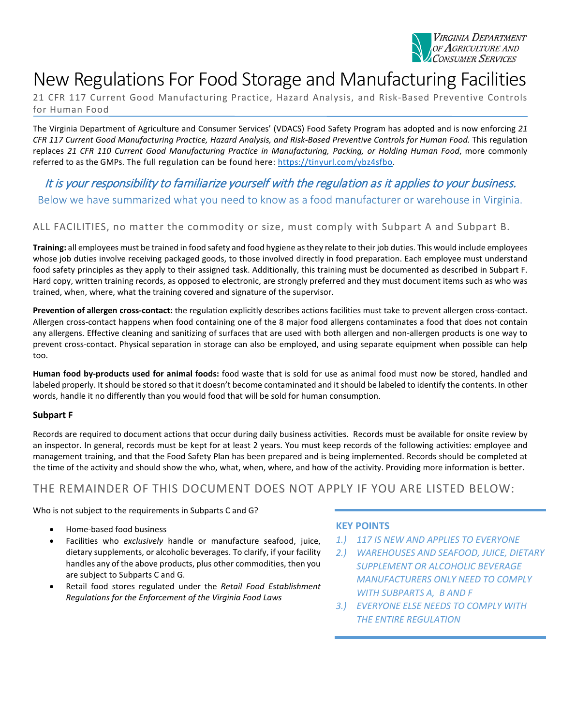

# New Regulations For Food Storage and Manufacturing Facilities

21 CFR 117 Current Good Manufacturing Practice, Hazard Analysis, and Risk-Based Preventive Controls for Human Food

The Virginia Department of Agriculture and Consumer Services' (VDACS) Food Safety Program has adopted and is now enforcing *21 CFR 117 Current Good Manufacturing Practice, Hazard Analysis, and Risk-Based Preventive Controls for Human Food.* This regulation replaces *21 CFR 110 Current Good Manufacturing Practice in Manufacturing, Packing, or Holding Human Food*, more commonly referred to as the GMPs. The full regulation can be found here: [https://tinyurl.com/ybz4sfbo.](https://tinyurl.com/ybz4sfbo)

It is your responsibility to familiarize yourself with the regulation as it applies to your business. Below we have summarized what you need to know as a food manufacturer or warehouse in Virginia.

### ALL FACILITIES, no matter the commodity or size, must comply with Subpart A and Subpart B.

**Training:** all employees must be trained in food safety and food hygiene as they relate to their job duties. This would include employees whose job duties involve receiving packaged goods, to those involved directly in food preparation. Each employee must understand food safety principles as they apply to their assigned task. Additionally, this training must be documented as described in Subpart F. Hard copy, written training records, as opposed to electronic, are strongly preferred and they must document items such as who was trained, when, where, what the training covered and signature of the supervisor.

**Prevention of allergen cross-contact:** the regulation explicitly describes actions facilities must take to prevent allergen cross-contact. Allergen cross-contact happens when food containing one of the 8 major food allergens contaminates a food that does not contain any allergens. Effective cleaning and sanitizing of surfaces that are used with both allergen and non-allergen products is one way to prevent cross-contact. Physical separation in storage can also be employed, and using separate equipment when possible can help too.

**Human food by-products used for animal foods:** food waste that is sold for use as animal food must now be stored, handled and labeled properly. It should be stored so that it doesn't become contaminated and it should be labeled to identify the contents. In other words, handle it no differently than you would food that will be sold for human consumption.

#### **Subpart F**

Records are required to document actions that occur during daily business activities. Records must be available for onsite review by an inspector. In general, records must be kept for at least 2 years. You must keep records of the following activities: employee and management training, and that the Food Safety Plan has been prepared and is being implemented. Records should be completed at the time of the activity and should show the who, what, when, where, and how of the activity. Providing more information is better.

## THE REMAINDER OF THIS DOCUMENT DOES NOT APPLY IF YOU ARE LISTED BELOW:

Who is not subject to the requirements in Subparts C and G?

- Home-based food business
- Facilities who *exclusively* handle or manufacture seafood, juice, dietary supplements, or alcoholic beverages. To clarify, if your facility handles any of the above products, plus other commodities, then you are subject to Subparts C and G.
- Retail food stores regulated under the *Retail Food Establishment Regulations for the Enforcement of the Virginia Food Laws*

#### **KEY POINTS**

- *1.) 117 IS NEW AND APPLIES TO EVERYONE*
- *2.) WAREHOUSES AND SEAFOOD, JUICE, DIETARY SUPPLEMENT OR ALCOHOLIC BEVERAGE MANUFACTURERS ONLY NEED TO COMPLY WITH SUBPARTS A, B AND F*
- *3.) EVERYONE ELSE NEEDS TO COMPLY WITH THE ENTIRE REGULATION*